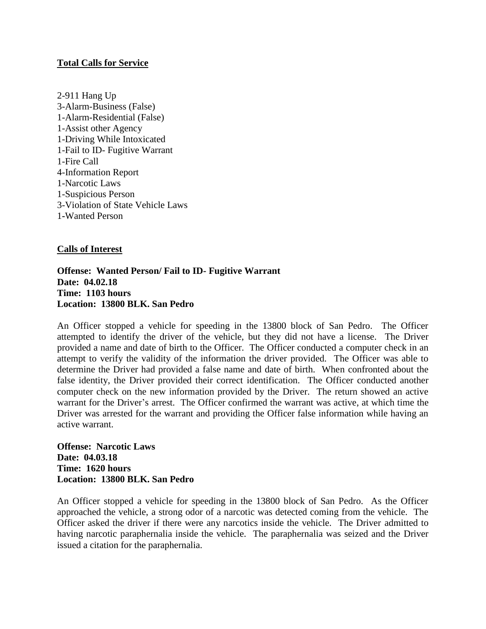# **Total Calls for Service**

2-911 Hang Up 3-Alarm-Business (False) 1-Alarm-Residential (False) 1-Assist other Agency 1-Driving While Intoxicated 1-Fail to ID- Fugitive Warrant 1-Fire Call 4-Information Report 1-Narcotic Laws 1-Suspicious Person 3-Violation of State Vehicle Laws 1**-**Wanted Person

# **Calls of Interest**

### **Offense: Wanted Person/ Fail to ID- Fugitive Warrant Date: 04.02.18 Time: 1103 hours Location: 13800 BLK. San Pedro**

An Officer stopped a vehicle for speeding in the 13800 block of San Pedro. The Officer attempted to identify the driver of the vehicle, but they did not have a license. The Driver provided a name and date of birth to the Officer. The Officer conducted a computer check in an attempt to verify the validity of the information the driver provided. The Officer was able to determine the Driver had provided a false name and date of birth. When confronted about the false identity, the Driver provided their correct identification. The Officer conducted another computer check on the new information provided by the Driver. The return showed an active warrant for the Driver's arrest. The Officer confirmed the warrant was active, at which time the Driver was arrested for the warrant and providing the Officer false information while having an active warrant.

**Offense: Narcotic Laws Date: 04.03.18 Time: 1620 hours Location: 13800 BLK. San Pedro**

An Officer stopped a vehicle for speeding in the 13800 block of San Pedro. As the Officer approached the vehicle, a strong odor of a narcotic was detected coming from the vehicle. The Officer asked the driver if there were any narcotics inside the vehicle. The Driver admitted to having narcotic paraphernalia inside the vehicle. The paraphernalia was seized and the Driver issued a citation for the paraphernalia.